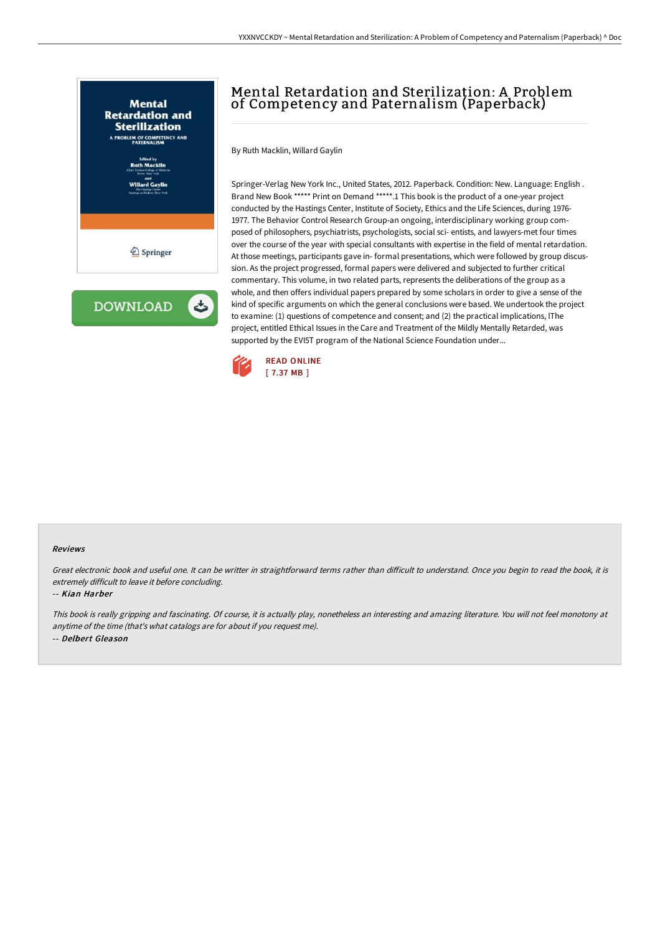

# Mental Retardation and Sterilization: A Problem of Competency and Paternalism (Paperback)

By Ruth Macklin, Willard Gaylin

Springer-Verlag New York Inc., United States, 2012. Paperback. Condition: New. Language: English . Brand New Book \*\*\*\*\* Print on Demand \*\*\*\*\*.1 This book is the product of a one-year project conducted by the Hastings Center, Institute of Society, Ethics and the Life Sciences, during 1976- 1977. The Behavior Control Research Group-an ongoing, interdisciplinary working group composed of philosophers, psychiatrists, psychologists, social sci- entists, and lawyers-met four times over the course of the year with special consultants with expertise in the field of mental retardation. At those meetings, participants gave in- formal presentations, which were followed by group discussion. As the project progressed, formal papers were delivered and subjected to further critical commentary. This volume, in two related parts, represents the deliberations of the group as a whole, and then offers individual papers prepared by some scholars in order to give a sense of the kind of specific arguments on which the general conclusions were based. We undertook the project to examine: (1) questions of competence and consent; and (2) the practical implications, lThe project, entitled Ethical Issues in the Care and Treatment of the Mildly Mentally Retarded, was supported by the EVI5T program of the National Science Foundation under...



#### Reviews

Great electronic book and useful one. It can be writter in straightforward terms rather than difficult to understand. Once you begin to read the book, it is extremely difficult to leave it before concluding.

#### -- Kian Harber

This book is really gripping and fascinating. Of course, it is actually play, nonetheless an interesting and amazing literature. You will not feel monotony at anytime of the time (that's what catalogs are for about if you request me). -- Delbert Gleason